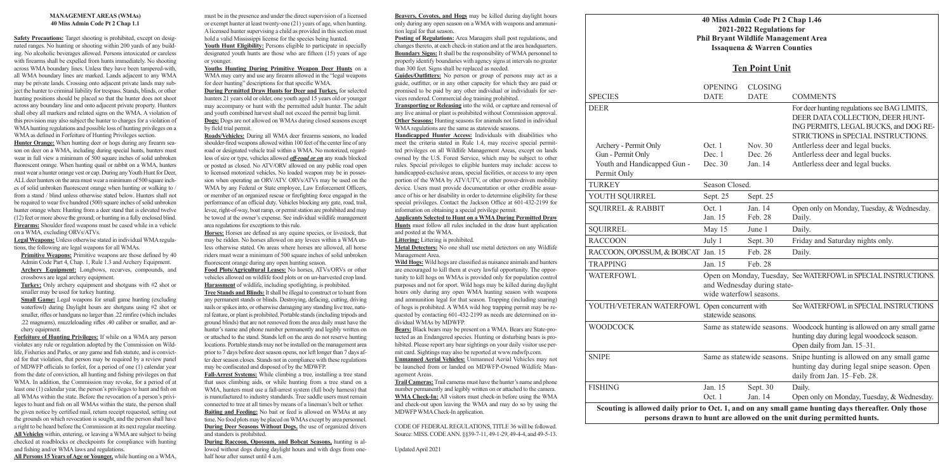### **40 Miss Admin Code Pt 2 Chap 1.46 2021-2022 Regulations for Phil Bryant Wildlife Management Area Issaquena & Warren Counties**

|                                                                                                                         | 2021-2022 Regulations for<br><b>Phil Bryant Wildlife Management</b><br><b>Issaquena &amp; Warren Counties</b> |                                  |                                                      |  |
|-------------------------------------------------------------------------------------------------------------------------|---------------------------------------------------------------------------------------------------------------|----------------------------------|------------------------------------------------------|--|
|                                                                                                                         | <b>Ten Point Unit</b>                                                                                         |                                  |                                                      |  |
| <b>SPECIES</b>                                                                                                          | <b>OPENING</b><br><b>DATE</b>                                                                                 | <b>CLOSING</b><br><b>DATE</b>    | <b>COM</b>                                           |  |
| <b>DEER</b>                                                                                                             |                                                                                                               |                                  | For de<br><b>DEER</b><br><b>INGP</b><br><b>STRIC</b> |  |
| Archery - Permit Only<br>Gun - Permit Only<br>Youth and Handicapped Gun -<br>Permit Only                                | Oct. 1<br>Dec. 1<br>Dec. 30                                                                                   | Nov. 30<br>Dec. 26<br>Jan. 14    | Antler<br>Antler<br>Antler                           |  |
| <b>TURKEY</b>                                                                                                           | Season Closed.                                                                                                |                                  |                                                      |  |
| YOUTH SQUIRREL                                                                                                          | Sept. 25                                                                                                      | Sept. 25                         |                                                      |  |
| <b>SQUIRREL &amp; RABBIT</b>                                                                                            | Oct. 1<br>Jan. 15                                                                                             | Jan. 14<br>Feb. 28               | Open<br>Daily.                                       |  |
| <b>SQUIRREL</b>                                                                                                         | May 15                                                                                                        | June 1                           | Daily.                                               |  |
| <b>RACCOON</b>                                                                                                          | July 1                                                                                                        | Sept. 30                         | Friday                                               |  |
| RACCOON, OPOSSUM, & BOBCAT Jan. 15                                                                                      |                                                                                                               | Feb. 28                          | Daily.                                               |  |
| <b>TRAPPING</b>                                                                                                         | Jan. 15                                                                                                       | Feb. 28                          |                                                      |  |
| <b>WATERFOWL</b>                                                                                                        | Open on Monday, Tuesday, See W<br>and Wednesday during state-<br>wide waterfowl seasons.                      |                                  |                                                      |  |
| YOUTH/VETERAN WATERFOWL Open concurrent with                                                                            | statewide seasons.                                                                                            |                                  | See W                                                |  |
| <b>WOODCOCK</b>                                                                                                         |                                                                                                               | Same as statewide seasons. Woode | huntin<br>Open                                       |  |
| <b>SNIPE</b>                                                                                                            |                                                                                                               | Same as statewide seasons.       | Snipe<br>huntin<br>daily:                            |  |
| <b>FISHING</b>                                                                                                          | Jan. 15<br>Oct. 1                                                                                             | Sept. 30<br>Jan. 14              | Daily.<br>Open                                       |  |
| Scouting is allowed daily prior to Oct. 1, and on any small game I<br>persons drawn to hunt are allowed on the unit dur |                                                                                                               |                                  |                                                      |  |

## **Ten Point Unit**

| <b>SPECIES</b>                                                                                                                                                                            | <b>OPENING</b><br><b>DATE</b> | <b>CLOSING</b><br><b>DATE</b> | <b>COMMENTS</b>                                                                                                                                                  |  |  |  |
|-------------------------------------------------------------------------------------------------------------------------------------------------------------------------------------------|-------------------------------|-------------------------------|------------------------------------------------------------------------------------------------------------------------------------------------------------------|--|--|--|
| DEER                                                                                                                                                                                      |                               |                               | For deer hunting regulations see BAG LIMITS,<br>DEER DATA COLLECTION, DEER HUNT-<br>ING PERMITS, LEGAL BUCKS, and DOG RE-<br>STRICTIONS in SPECIAL INSTRUCTIONS. |  |  |  |
| Archery - Permit Only                                                                                                                                                                     | Oct. 1                        | Nov. 30                       | Antlerless deer and legal bucks.                                                                                                                                 |  |  |  |
| Gun - Permit Only                                                                                                                                                                         | Dec. 1                        | Dec. 26                       | Antlerless deer and legal bucks.                                                                                                                                 |  |  |  |
| Youth and Handicapped Gun -<br>Permit Only                                                                                                                                                | Dec. 30                       | Jan. 14                       | Antlerless deer and legal bucks.                                                                                                                                 |  |  |  |
| TURKEY                                                                                                                                                                                    | Season Closed.                |                               |                                                                                                                                                                  |  |  |  |
| YOUTH SQUIRREL                                                                                                                                                                            | Sept. 25                      | Sept. 25                      |                                                                                                                                                                  |  |  |  |
| <b>SQUIRREL &amp; RABBIT</b>                                                                                                                                                              | Oct.1<br>Jan. 15              | Jan. 14<br>Feb. 28            | Open only on Monday, Tuesday, & Wednesday.<br>Daily.                                                                                                             |  |  |  |
| SQUIRREL                                                                                                                                                                                  | May 15                        | June 1                        | Daily.                                                                                                                                                           |  |  |  |
| <b>RACCOON</b>                                                                                                                                                                            | July 1                        | Sept. 30                      | Friday and Saturday nights only.                                                                                                                                 |  |  |  |
| RACCOON, OPOSSUM, & BOBCAT Jan. 15                                                                                                                                                        |                               | Feb. 28                       | Daily.                                                                                                                                                           |  |  |  |
| <b>TRAPPING</b>                                                                                                                                                                           | Jan. 15                       | Feb. 28                       |                                                                                                                                                                  |  |  |  |
| WATERFOWL                                                                                                                                                                                 | wide waterfowl seasons.       | and Wednesday during state-   | Open on Monday, Tuesday, See WATERFOWL in SPECIAL INSTRUCTIONS.                                                                                                  |  |  |  |
| YOUTH/VETERAN WATERFOWL Open concurrent with                                                                                                                                              | statewide seasons.            |                               | See WATERFOWL in SPECIAL INSTRUCTIONS                                                                                                                            |  |  |  |
| <b>WOODCOCK</b>                                                                                                                                                                           |                               |                               | Same as statewide seasons. Woodcock hunting is allowed on any small game<br>hunting day during legal woodcock season.<br>Open daily from Jan. 15-31.             |  |  |  |
| <b>SNIPE</b>                                                                                                                                                                              |                               |                               | Same as statewide seasons. Snipe hunting is allowed on any small game<br>hunting day during legal snipe season. Open<br>daily from Jan. 15-Feb. 28.              |  |  |  |
| FISHING                                                                                                                                                                                   | Jan. 15                       | Sept. 30                      | Daily.                                                                                                                                                           |  |  |  |
|                                                                                                                                                                                           | Oct. 1                        | Jan. 14                       | Open only on Monday, Tuesday, & Wednesday.                                                                                                                       |  |  |  |
| Scouting is allowed daily prior to Oct. 1, and on any small game hunting days thereafter. Only those<br>concerns due un de baind energy allowed en die sink distinct a constituted bainde |                               |                               |                                                                                                                                                                  |  |  |  |

hunt are allowed on the unit during permitted hunts.

#### **MANAGEMENT AREAS (WMAs) 40 Miss Admin Code Pt 2 Chap 1.1**

**Primitive Weapons:** Primitive weapons are those defined by 40 Admin Code Part 4, Chap. 1, Rule 1.3 and Archery Equipment. **Archery Equipment:** Longbows, recurves, compounds, and crossbows are legal archery equipment.

**Small Game:** Legal weapons for small game hunting (excluding waterfowl) during Daylight hours are shotguns using #2 shot or smaller, rifles or handguns no larger than .22 rimfire (which includes .22 magnums), muzzleloading rifles .40 caliber or smaller, and archery equipment.

**Safety Precautions:** Target shooting is prohibited, except on designated ranges. No hunting or shooting within 200 yards of any building. No alcoholic beverages allowed. Persons intoxicated or careless with firearms shall be expelled from hunts immediately. No shooting across WMA boundary lines. Unless they have been tampered-with, all WMA boundary lines are marked. Lands adjacent to any WMA may be private lands. Crossing onto adjacent private lands may subject the hunter to criminal liability for trespass. Stands, blinds, or other hunting positions should be placed so that the hunter does not shoot across any boundary line and onto adjacent private property. Hunters shall obey all markers and related signs on the WMA. A violation of this provision may also subject the hunter to charges for a violation of WMA hunting regulations and possible loss of hunting privileges on a WMA as defined in Forfeiture of Hunting Privileges section.

Youth Hunt Eligibility: Persons eligible to participate in specially designated youth hunts are those who are fifteen (15) years of age or younger.

**Hunter Orange:** When hunting deer or hogs during any firearm season on deer on a WMA, including during special hunts, hunters must wear in full view a minimum of 500 square inches of solid unbroken fluorescent orange. When hunting quail or rabbit on a WMA, hunters must wear a hunter orange vest or cap. During any Youth Hunt for Deer, ALL deer hunters on the area must wear a minimum of 500 square inches of solid unbroken fluorescent orange when hunting or walking to / from a stand / blind unless otherwise stated below. Hunters shall not be required to wear five hundred (500) square inches of solid unbroken hunter orange when: Hunting from a deer stand that is elevated twelve (12) feet or more above the ground; or hunting in a fully enclosed blind. **Firearms:** Shoulder fired weapons must be cased while in a vehicle on a WMA, excluding ORVs/ATVs.

**Legal Weapons:** Unless otherwise stated in individual WMA regulations, the following are legal weapons for all WMAs.

**Turkey:** Only archery equipment and shotguns with #2 shot or smaller may be used for turkey hunting.

> **During Raccoon, Opossum, and Bobcat Seasons,** hunting is allowed without dogs during daylight hours and with dogs from onehalf hour after sunset until 4 a.m.

**Forfeiture of Hunting Privileges:** If while on a WMA any person violates any rule or regulation adopted by the Commission on Wildlife, Fisheries and Parks, or any game and fish statute, and is convicted for that violation, that person may be required by a review panel of MDWFP officials to forfeit, for a period of one (1) calendar year from the date of conviction, all hunting and fishing privileges on that WMA. In addition, the Commission may revoke, for a period of at least one (1) calendar year, the person's privileges to hunt and fish on all WMAs within the state. Before the revocation of a person's privileges to hunt and fish on all WMAs within the state, the person shall be given notice by certified mail, return receipt requested, setting out the grounds on which revocation is sought, and the person shall have a right to be heard before the Commission at its next regular meeting. **All Vehicles** within, entering, or leaving a WMA are subject to being checked at roadblocks or checkpoints for compliance with hunting and fishing and/or WMA laws and regulations.

**All Persons 15 Years of Age or Younger,** while hunting on a WMA,

must be in the presence and under the direct supervision of a licensed or exempt hunter at least twenty-one (21) years of age, when hunting. A licensed hunter supervising a child as provided in this section must hold a valid Mississippi license for the species being hunted.

**Youths Hunting During Primitive Weapon Deer Hunts** on a WMA may carry and use any firearm allowed in the "legal weapons for deer hunting" descriptions for that specific WMA.

**During Permitted Draw Hunts for Deer and Turkey,** for selected hunters 21 years old or older, one youth aged 15 years old or younger may accompany or hunt with the permitted adult hunter. The adult and youth combined harvest shall not exceed the permit bag limit. **Dogs:** Dogs are not allowed on WMAs during closed seasons except by field trial permit.

**Roads/Vehicles:** During all WMA deer firearms seasons, no loaded shoulder-fired weapons allowed within 100 feet of the center line of any road or designated vehicle trail within a WMA. No motorized, regardless of size or type, vehicles allowed *off-road or on* any roads blocked or posted as closed. No ATV/ORV allowed on any public road open to licensed motorized vehicles. No loaded weapon may be in possession when operating an ORV/ATV. ORVs/ATVs may be used on the WMA by any Federal or State employee, Law Enforcement Officers, or member of an organized rescue or firefighting force engaged in the performance of an official duty. Vehicles blocking any gate, road, trail, levee, right-of-way, boat ramp, or permit station are prohibited and may be towed at the owner's expense. See individual wildlife management area regulations for exceptions to this rule.

**Horses:** Horses are defined as any equine species, or livestock, that may be ridden. No horses allowed on any levees within a WMA unless otherwise stated. On areas where horses are allowed, all horse riders must wear a minimum of 500 square inches of solid unbroken fluorescent orange during any open hunting season.

**Food Plots/Agricultural Leases:** No horses, ATVs/ORVs or other vehicles allowed on wildlife food plots or on un-harvested crop land. **Harassment** of wildlife, including spotlighting, is prohibited.

**Tree Stands and Blinds:** It shall be illegal to construct or to hunt from any permanent stands or blinds. Destroying, defacing, cutting, driving nails or spikes into, or otherwise damaging any standing live tree, natural feature, or plant is prohibited. Portable stands (including tripods and ground blinds) that are not removed from the area daily must have the hunter's name and phone number permanently and legibly written on or attached to the stand. Stands left on the area do not reserve hunting locations. Portable stands may not be installed on the management area prior to 7 days before deer season opens, nor left longer than 7 days after deer season closes. Stands not in compliance with these regulations may be confiscated and disposed of by the MDWFP.

**Fall-Arrest Systems:** While climbing a tree, installing a tree stand that uses climbing aids, or while hunting from a tree stand on a WMA, hunters must use a fall-arrest system (full body harness) that is manufactured to industry standards. Tree saddle users must remain connected to tree at all times by means of a lineman's belt or tether. **Baiting and Feeding:** No bait or feed is allowed on WMAs at any time. No food plots may be placed on WMAs except by area personnel. **During Deer Seasons Without Dogs,** the use of organized drivers and standers is prohibited.

**Beavers, Coyotes, and Hogs** may be killed during daylight hours only during any open season on a WMA with weapons and ammunition legal for that season.

**Posting of Regulations:** Area Managers shall post regulations, and changes thereto, at each check-in station and at the area headquarters. **Boundary Signs:** It shall be the responsibility of WMA personnel to properly identify boundaries with agency signs at intervals no greater than 300 feet. Signs shall be replaced as needed.

**Guides/Outfitters:** No person or group of persons may act as a guide, outfitter, or in any other capacity for which they are paid or promised to be paid by any other individual or individuals for services rendered. Commercial dog training prohibited.

**Transporting or Releasing** into the wild, or capture and removal of any live animal or plant is prohibited without Commission approval. **Other Seasons:** Hunting seasons for animals not listed in individual WMA regulations are the same as statewide seasons.

**Handicapped Hunter Access:** Individuals with disabilities who meet the criteria stated in Rule 1.4, may receive special permitted privileges on all Wildlife Management Areas, except on lands owned by the U.S. Forest Service, which may be subject to other rules. Special privileges to eligible hunters may include: access to handicapped-exclusive areas, special facilities, or access to any open portion of the WMA by ATV/UTV, or other power-driven mobility device. Users must provide documentation or other credible assurance of his or her disability in order to determine eligibility for these special privileges. Contact the Jackson Office at 601-432-2199 for information on obtaining a special privilege permit.

#### **Applicants Selected to Hunt on a WMA During Permitted Draw**

**Hunts** must follow all rules included in the draw hunt application and posted at the WMA.

**Littering:** Littering is prohibited.

**Metal Detectors:** No one shall use metal detectors on any Wildlife Management Area.

**Wild Hogs:** Wild hogs are classified as nuisance animals and hunters are encouraged to kill them at every lawful opportunity. The opportunity to kill hogs on WMAs is provided only for population control purposes and not for sport. Wild hogs may be killed during daylight hours only during any open WMA hunting season with weapons and ammunition legal for that season. Trapping (including snaring) of hogs is prohibited. A WMA wild hog trapping permit may be requested by contacting 601-432-2199 as needs are determined on individual WMAs by MDWFP.

**Bears:** Black bears may be present on a WMA. Bears are State-protected as an Endangered species. Hunting or disturbing bears is prohibited. Please report any bear sightings on your daily visitor use permit card. Sightings may also be reported at www.mdwfp.com.

**Unmanned Aerial Vehicles:** Unmanned Aerial Vehicles may not be launched from or landed on MDWFP-Owned Wildlife Management Areas.

**Trail Cameras:** Trail cameras must have the hunter's name and phone number permanently and legibly written on or attached to the camera. **WMA Check-In:** All visitors must check-in before using the WMA and check-out upon leaving the WMA and may do so by using the MDWFP WMA Check-In application.

CODE OF FEDERAL REGULATIONS, TITLE 36 will be followed. Source: MISS. CODE ANN. §§39-7-11, 49-1-29, 49-4-4, and 49-5-13.

Updated April 2021